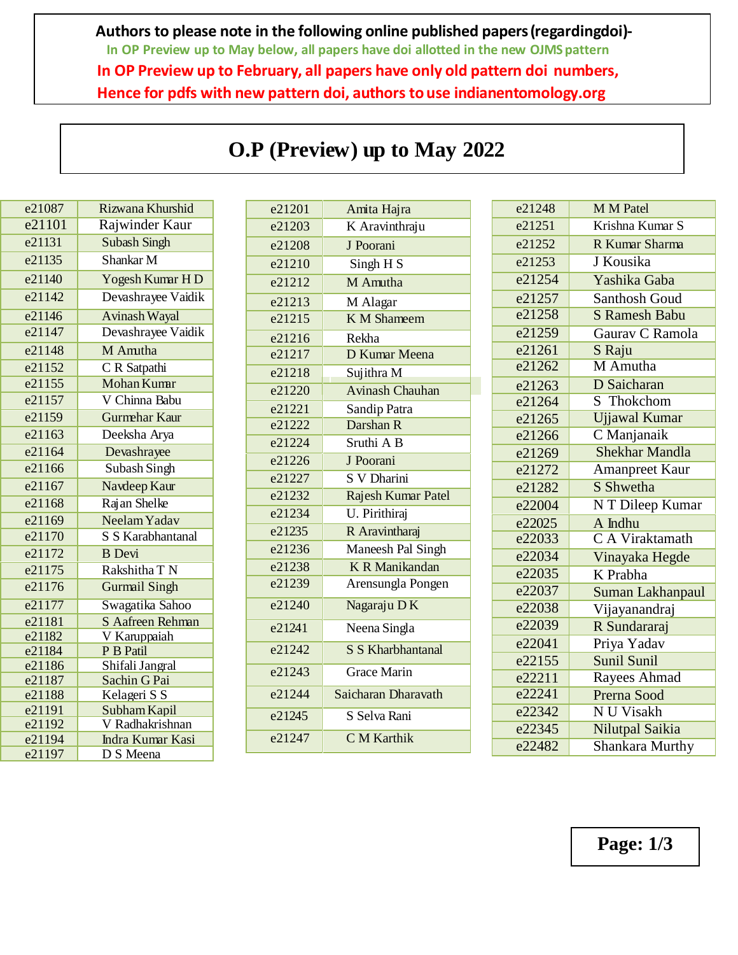**Authors to please note in the following online published papers(regardingdoi)- In OP Preview up to May below, all papers have doi allotted in the new OJMS pattern In OP Preview up to February, all papers have only old pattern doi numbers, Hence for pdfs with new pattern doi, authors to use indianentomology.org**

| e21087           | Rizwana Khurshid                |
|------------------|---------------------------------|
| e21101           | Rajwinder Kaur                  |
| e21131           | <b>Subash Singh</b>             |
| e21135           | Shankar M                       |
| e21140           | Yogesh Kumar HD                 |
| e21142           | Devashrayee Vaidik              |
| e21146           | <b>Avinash Wayal</b>            |
| e21147           | Devashrayee Vaidik              |
| e21148           | M Amitha                        |
| e21152           | $\overline{C}$ R Satpathi       |
| e21155           | <b>Mohan Kumr</b>               |
| e21157           | V Chinna Babu                   |
| e21159           | <b>Gurmehar Kaur</b>            |
| e21163           | Deeksha Arya                    |
| e21164           | Devashrayee                     |
| e21166           | Subash Singh                    |
| e21167           | Navdeep Kaur                    |
| e21168           | Rajan Shelke                    |
| e21169           | Neelam Yadav                    |
| e21170           | S S Karabhantanal               |
| e21172           | <b>B</b> Devi                   |
| e21175           | Rakshitha T N                   |
| e21176           | <b>Gurmail Singh</b>            |
| e21177           | Swagatika Sahoo                 |
| e21181           | S Aafreen Rehman                |
| e21182           | V Karuppaiah                    |
| e21184           | P B Patil                       |
| e21186<br>e21187 | Shifali Jangral<br>Sachin G Pai |
| e21188           | Kelageri S S                    |
| e21191           | Subham Kapil                    |
| e21192           | V Radhakrishnan                 |
| e21194           | Indra Kumar Kasi                |
| e21197           | D S Meena                       |

## **O.P (Preview) up to May 2022**

| e21201 | Amita Hajra              |
|--------|--------------------------|
| e21203 | K Aravinthraju           |
| e21208 | J Poorani                |
| e21210 | Singh H S                |
| e21212 | M Amutha                 |
| e21213 | M Alagar                 |
| e21215 | <b>K</b> M Shameem       |
| e21216 | Rekha                    |
| e21217 | D Kumar Meena            |
| e21218 | Sujithra M               |
| e21220 | <b>Avinash Chauhan</b>   |
| e21221 | Sandip Patra             |
| e21222 | Darshan R                |
| e21224 | Sruthi A B               |
| e21226 | J Poorani                |
| e21227 | S V Dharini              |
| e21232 | Rajesh Kumar Patel       |
| e21234 | U. Pirithiraj            |
| e21235 | R Aravintharaj           |
| e21236 | Maneesh Pal Singh        |
| e21238 | <b>K R Manikandan</b>    |
| e21239 | Arensungla Pongen        |
| e21240 | Nagaraju DK              |
| e21241 | Neena Singla             |
| e21242 | <b>S S Kharbhantanal</b> |
| e21243 | <b>Grace Marin</b>       |
| e21244 | Saicharan Dharavath      |
| e21245 | S Selva Rani             |
| e21247 | <b>C</b> M Karthik       |

| <b>M M Patel</b>                  |
|-----------------------------------|
| Krishna Kumar S                   |
| R Kumar Sharma                    |
| J Kousika                         |
| Yashika Gaba                      |
| Santhosh Goud                     |
| <b>S</b> Ramesh Babu              |
| Gaurav C Ramola                   |
| S Raju                            |
| M Amutha                          |
| <b>D</b> Saicharan                |
| S Thokchom                        |
| <b>Ujjawal Kumar</b>              |
| $\overline{\mathrm{C}}$ Manjanaik |
| <b>Shekhar Mandla</b>             |
| <b>Amanpreet Kaur</b>             |
| S Shwetha                         |
| N T Dileep Kumar                  |
| A Indhu                           |
| <b>CA</b> Viraktamath             |
| Vinayaka Hegde                    |
| K Prabha                          |
| Suman Lakhanpaul                  |
| Vijayanandraj                     |
| R Sundararaj                      |
| Priya Yadav                       |
| Sunil Sunil                       |
| Rayees Ahmad                      |
| Prerna Sood                       |
| N U Visakh                        |
| Nilutpal Saikia                   |
| Shankara Murthy                   |
|                                   |

**Page: 1/3**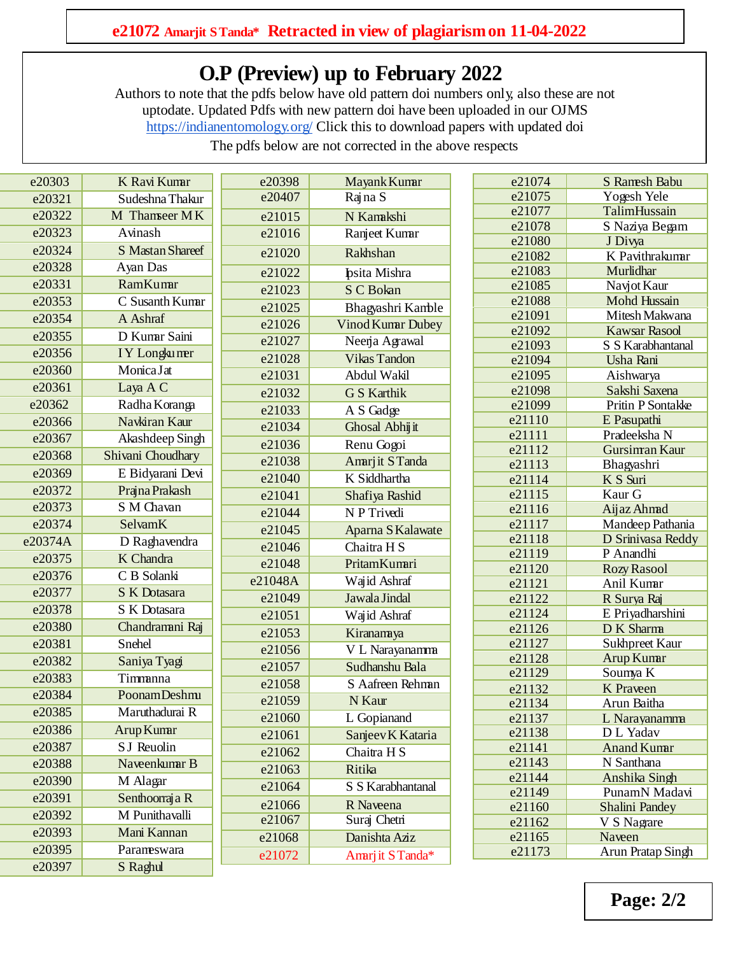## **O.P (Preview) up to February 2022**

[Authors](https://www.entosocindia.org/image/catalog/onlinepublished/Paper%20pdf/21148--M%20Amutha.pdf) to note that the pdfs below have old pattern doi numbers only, also these are not uptodate. Updated Pdfs with new pattern doi have been uploaded in our OJMS <https://indianentomology.org/> Click this to download papers with updated doi

The pdfs below are not corrected in the above respects

| e20303  | K Ravi Kumr                    | e20398  | Mayank Kumar        | e21074           | <b>S</b> Ramesh Babu             |
|---------|--------------------------------|---------|---------------------|------------------|----------------------------------|
| e20321  | Sudeshna Thakur                | e20407  | Rajna S             | e21075           | Yogesh Yele                      |
| e20322  | M Thanseer MK                  | e21015  | N Kamkshi           | e21077           | TalimHussain                     |
| e20323  | Avinash                        | e21016  | Ranjeet Kumar       | e21078           | S Naziya Begam                   |
| e20324  | S Mastan Shareef               | e21020  | Rakhshan            | e21080           | J Divya                          |
| e20328  | Ayan Das                       |         |                     | e21082<br>e21083 | K Pavithrakumar<br>Murlidhar     |
| e20331  | RamKumr                        | e21022  | Ipsita Mishra       | e21085           | Navjot Kaur                      |
| e20353  | C Susanth Kumar                | e21023  | S C Bokan           | e21088           | Mohd Hussain                     |
| e20354  | A Ashraf                       | e21025  | Bhagyashri Kamble   | e21091           | Mitesh Makwana                   |
| e20355  | D Kumr Saini                   | e21026  | Vinod Kumar Dubey   | e21092           | <b>Kawsar Rasool</b>             |
| e20356  | IY Longkumer                   | e21027  | Neerja Agrawal      | e21093           | S S Karabhantanal                |
| e20360  | MonicaJat                      | e21028  | <b>Vikas Tandon</b> | e21094           | Usha Rani                        |
| e20361  |                                | e21031  | Abdul Wakil         | e21095           | Aishwarya                        |
| e20362  | Laya A C                       | e21032  | <b>G S Karthik</b>  | e21098           | Sakshi Saxena                    |
|         | Radha Koranga<br>Navkiran Kaur | e21033  | A S Gadge           | e21099<br>e21110 | Pritin P Sontakke<br>E Pasupathi |
| e20366  |                                | e21034  | Ghosal Abhijit      | e21111           | Pradeeksha N                     |
| e20367  | Akashdeep Singh                | e21036  | Renu Gogoi          | e21112           | Gursiman Kaur                    |
| e20368  | Shivani Choudhary              | e21038  | Amarjit STanda      | e21113           | Bhagyashri                       |
| e20369  | E Bidyarani Devi               | e21040  | K Siddhartha        | e21114           | K S Suri                         |
| e20372  | Prajna Prakash                 | e21041  | Shafiya Rashid      | e21115           | Kaur G                           |
| e20373  | S M Chavan                     | e21044  | N P Trivedi         | e21116           | Aijaz Ahmd                       |
| e20374  | SelvamK                        | e21045  | Aparna S Kalawate   | e21117           | Mandeep Pathania                 |
| e20374A | D Raghavendra                  | e21046  | Chaitra H S         | e21118           | D Srinivasa Reddy<br>P Anandhi   |
| e20375  | K Chandra                      | e21048  | PritamKumri         | e21119<br>e21120 | <b>Rozy Rasool</b>               |
| e20376  | C B Solanki                    | e21048A | Wajid Ashraf        | e21121           | Anil Kumar                       |
| e20377  | S K Dotasara                   | e21049  | Jawala Jindal       | e21122           | R Surya Raj                      |
| e20378  | S K Dotasara                   | e21051  | Wajid Ashraf        | e21124           | E Priyadharshini                 |
| e20380  | Chandramni Raj                 | e21053  | Kiranamya           | e21126           | D K Sharma                       |
| e20381  | Snehel                         | e21056  | V L Narayanamma     | e21127           | Sukhpreet Kaur                   |
| e20382  | Saniya Tyagi                   | e21057  | Sudhanshu Bala      | e21128           | Arup Kumr                        |
| e20383  | Timmanna                       | e21058  | S Aafreen Rehman    | e21129           | Soumya K                         |
| e20384  | PoonamDeshmu                   | e21059  | N Kaur              | e21132<br>e21134 | K Praveen<br>Arun Baitha         |
| e20385  | Maruthadurai R                 | e21060  | L Gopianand         | e21137           | L Narayanamma                    |
| e20386  | Arup Kumar                     | e21061  | Sanjeev K Kataria   | e21138           | D L Yadav                        |
| e20387  | S J Reuolin                    | e21062  | Chaitra H S         | e21141           | <b>Anand Kumr</b>                |
| e20388  | Navenkum B                     | e21063  | Ritika              | e21143           | N Santhana                       |
| e20390  | M Alagar                       | e21064  | S S Karabhantanal   | e21144           | Anshika Singh                    |
| e20391  | Senthoorraja R                 |         |                     | e21149           | PunamN Madavi                    |
| e20392  | M Punithavalli                 | e21066  | R Naveena           | e21160           | Shalini Pandey                   |
| e20393  | Mani Kannan                    | e21067  | Suraj Chetri        | e21162           | V S Nagrare                      |
| e20395  | Parameswara                    | e21068  | Danishta Aziz       | e21165<br>e21173 | Naveen<br>Arun Pratap Singh      |
| e20397  | S Raghul                       | e21072  | Amriit STanda*      |                  |                                  |
|         |                                |         |                     |                  |                                  |